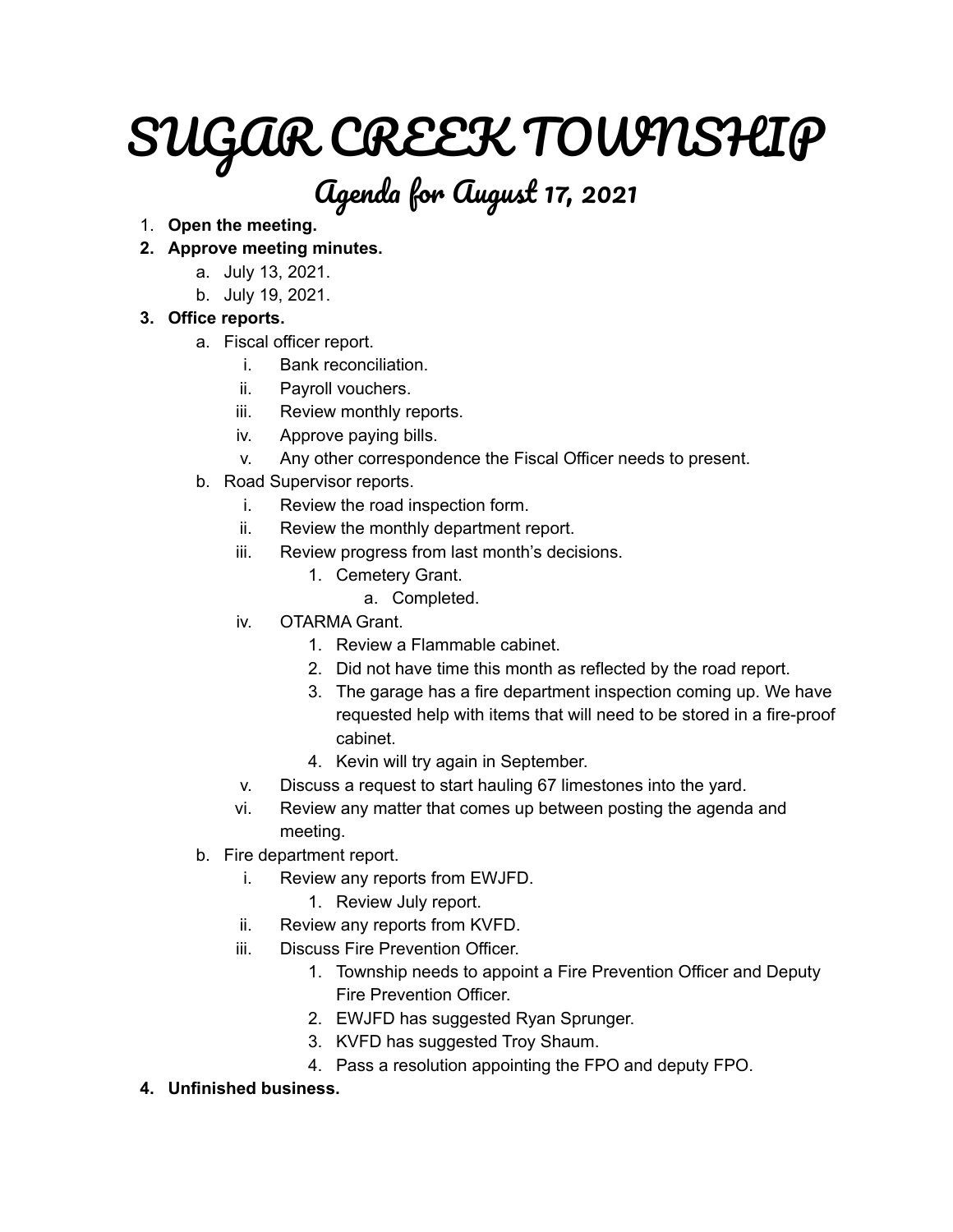# SUGAR CREEK TOWNSHIP

# Agenda for August 17, 2021

# 1. **Open the meeting.**

# **2. Approve meeting minutes.**

- a. July 13, 2021.
- b. July 19, 2021.

# **3. Office reports.**

- a. Fiscal officer report.
	- i. Bank reconciliation.
	- ii. Payroll vouchers.
	- iii. Review monthly reports.
	- iv. Approve paying bills.
	- v. Any other correspondence the Fiscal Officer needs to present.
- b. Road Supervisor reports.
	- i. Review the road inspection form.
	- ii. Review the monthly department report.
	- iii. Review progress from last month's decisions.
		- 1. Cemetery Grant.
			- a. Completed.
	- iv. OTARMA Grant.
		- 1. Review a Flammable cabinet.
		- 2. Did not have time this month as reflected by the road report.
		- 3. The garage has a fire department inspection coming up. We have requested help with items that will need to be stored in a fire-proof cabinet.
		- 4. Kevin will try again in September.
	- v. Discuss a request to start hauling 67 limestones into the yard.
	- vi. Review any matter that comes up between posting the agenda and meeting.
- b. Fire department report.
	- i. Review any reports from EWJFD.
		- 1. Review July report.
	- ii. Review any reports from KVFD.
	- iii. Discuss Fire Prevention Officer.
		- 1. Township needs to appoint a Fire Prevention Officer and Deputy Fire Prevention Officer.
		- 2. EWJFD has suggested Ryan Sprunger.
		- 3. KVFD has suggested Troy Shaum.
		- 4. Pass a resolution appointing the FPO and deputy FPO.
- **4. Unfinished business.**